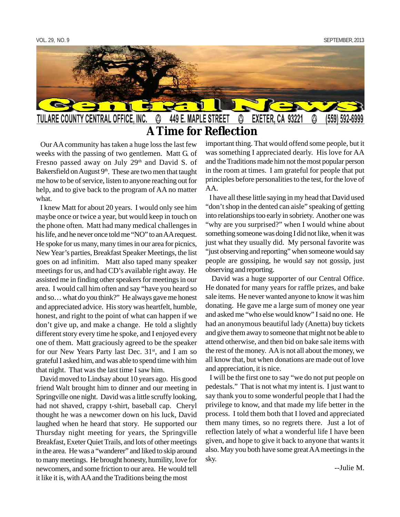

 **A Time for Reflection**

 Our AA community has taken a huge loss the last few weeks with the passing of two gentlemen. Matt G. of Fresno passed away on July 29<sup>th</sup> and David S. of Bakersfield on August  $9<sup>th</sup>$ . These are two men that taught me how to be of service, listen to anyone reaching out for help, and to give back to the program of AA no matter what.

 I knew Matt for about 20 years. I would only see him maybe once or twice a year, but would keep in touch on the phone often. Matt had many medical challenges in his life, and he never once told me "NO" to an AA request. He spoke for us many, many times in our area for picnics, New Year's parties, Breakfast Speaker Meetings, the list goes on ad infinitim. Matt also taped many speaker meetings for us, and had CD's available right away. He assisted me in finding other speakers for meetings in our area. I would call him often and say "have you heard so and so… what do you think?" He always gave me honest and appreciated advice. His story was heartfelt, humble, honest, and right to the point of what can happen if we don't give up, and make a change. He told a slightly different story every time he spoke, and I enjoyed every one of them. Matt graciously agreed to be the speaker for our New Years Party last Dec. 31<sup>st</sup>, and I am so grateful I asked him, and was able to spend time with him that night. That was the last time I saw him.

 David moved to Lindsay about 10 years ago. His good friend Walt brought him to dinner and our meeting in Springville one night. David was a little scruffy looking, had not shaved, crappy t-shirt, baseball cap. Cheryl thought he was a newcomer down on his luck, David laughed when he heard that story. He supported our Thursday night meeting for years, the Springville Breakfast, Exeter Quiet Trails, and lots of other meetings in the area. He was a "wanderer" and liked to skip around to many meetings. He brought honesty, humility, love for newcomers, and some friction to our area. He would tell it like it is, with AA and the Traditions being the most

important thing. That would offend some people, but it was something I appreciated dearly. His love for AA and the Traditions made him not the most popular person in the room at times. I am grateful for people that put principles before personalities to the test, for the love of AA.

 I have all these little saying in my head that David used "don't shop in the dented can aisle" speaking of getting into relationships too early in sobriety. Another one was "why are you surprised?" when I would whine about something someone was doing I did not like, when it was just what they usually did. My personal favorite was "just observing and reporting" when someone would say people are gossiping, he would say not gossip, just observing and reporting.

 David was a huge supporter of our Central Office. He donated for many years for raffle prizes, and bake sale items. He never wanted anyone to know it was him donating. He gave me a large sum of money one year and asked me "who else would know" I said no one. He had an anonymous beautiful lady (Anetta) buy tickets and give them away to someone that might not be able to attend otherwise, and then bid on bake sale items with the rest of the money. AA is not all about the money, we all know that, but when donations are made out of love and appreciation, it is nice.

 I will be the first one to say "we do not put people on pedestals." That is not what my intent is. I just want to say thank you to some wonderful people that I had the privilege to know, and that made my life better in the process. I told them both that I loved and appreciated them many times, so no regrets there. Just a lot of reflection lately of what a wonderful life I have been given, and hope to give it back to anyone that wants it also. May you both have some great AA meetings in the sky.

--Julie M.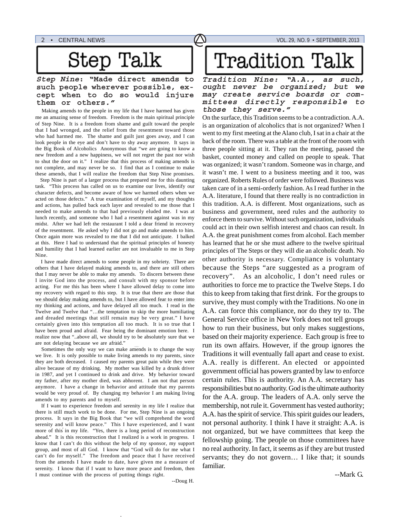# Step Talk

#### **Step Nine: "Made direct amends to such people wherever possible, except when to do so would injure them or others."**

Making amends to the people in my life that I have harmed has given **those** they serve." me an amazing sense of freedom. Freedom is the main spiritual principle of Step Nine. It is a freedom from shame and guilt toward the people that I had wronged, and the relief from the resentment toward those who had harmed me. The shame and guilt just goes away, and I can look people in the eye and don't have to shy away anymore. It says in the Big Book of Alcoholics Anonymous that "we are going to know a new freedom and a new happiness, we will not regret the past nor wish to shut the door on it." I realize that this process of making amends is not complete, and may never be so. I find that as I continue to make these amends, that I will realize the freedom that Step Nine promises.

 Step Nine is part of a larger process that prepared me for this daunting task. "This process has called on us to examine our lives, identify our character defects, and become aware of how we harmed others when we acted on those defects." A true examination of myself, and my thoughts and actions, has pulled back each layer and revealed to me those that I needed to make amends to that had previously eluded me. I was at lunch recently, and someone who I had a resentment against was in my midst. After we had left the restaurant I told a dear friend in recovery of the resentment. He asked why I did not go and make amends to him. Once again more was revealed to me that I did not anticipate. I balked at this. Here I had to understand that the spiritual principles of honesty and humility that I had learned earlier are not invaluable to me in Step Nine.

 I have made direct amends to some people in my sobriety. There are others that I have delayed making amends to, and there are still others that I may never be able to make my amends. To discern between these I invite God into the process, and consult with my sponsor before acting. For me this has been where I have allowed delay to come into my recovery with regard to this step. It is true that there are those that we should delay making amends to, but I have allowed fear to enter into my thinking and actions, and have delayed all too much. I read in the Twelve and Twelve that "…the temptation to skip the more humiliating and dreaded meetings that still remain may be very great." I have certainly given into this temptation all too much. It is so true that I have been proud and afraid. Fear being the dominant emotion here. I realize now that "..above all, we should try to be absolutely sure that we are not delaying because we are afraid."

 Sometimes the only way we can make amends is to change the way we live. It is only possible to make living amends to my parents, since they are both deceased. I caused my parents great pain while they were alive because of my drinking. My mother was killed by a drunk driver in 1987, and yet I continued to drink and drive. My behavior toward my father, after my mother died, was abhorent. I am not that person anymore. I have a change in behavior and attitude that my parents would be very proud of. By changing my behavior I am making living amends to my parents and to myself.

 If I want to experience freedom and serenity in my life I realize that there is still much work to be done. For me, Step Nine is an ongoing process. It says in the Big Book that "we will comprehend the word serenity and will know peace." This I have experienced, and I want more of this in my life. "Yes, there is a long period of reconstruction ahead." It is this reconstruction that I realized is a work in progress. I know that I can't do this without the help of my sponsor, my support group, and most of all God. I know that "God will do for me what I can't do for myself." The freedom and peace that I have received from the amends I have made to date, have given me a measure of serenity. I know that if I want to have more peace and freedom, then I must continue with the process of putting things right.

# **Tradition Talk**

**Tradition Nine: "A.A., as such, ought never be organized; but we may create service boards or committees directly responsible to**

On the surface, this Tradition seems to be a contradiction. A.A. is an organization of alcoholics that is not organized? When I went to my first meeting at the Alano club, I sat in a chair at the back of the room. There was a table at the front of the room with three people sitting at it. They ran the meeting, passed the basket, counted money and called on people to speak. That was organized; it wasn't random. Someone was in charge, and it wasn't me. I went to a business meeting and it too, was organized. Roberts Rules of order were followed. Business was taken care of in a semi-orderly fashion. As I read further in the A.A. literature, I found that there really is no contradiction in this tradition. A.A. is different. Most organizations, such as business and government, need rules and the authority to enforce them to survive. Without such organization, individuals could act in their own selfish interest and chaos can result. In A.A. the great punishment comes from alcohol. Each member has learned that he or she must adhere to the twelve spiritual principles of The Steps or they will die an alcoholic death. No other authority is necessary. Compliance is voluntary because the Steps "are suggested as a program of recovery". As an alcoholic, I don't need rules or authorities to force me to practice the Twelve Steps. I do this to keep from taking that first drink. For the groups to survive, they must comply with the Traditions. No one in A.A. can force this compliance, nor do they try to. The General Service office in New York does not tell groups how to run their business, but only makes suggestions, based on their majority experience. Each group is free to run its own affairs. However, if the group ignores the Traditions it will eventually fall apart and cease to exist. A.A. really is different. An elected or appointed government official has powers granted by law to enforce certain rules. This is authority. An A.A. secretary has responsibilities but no authority. God is the ultimate authority for the A.A. group. The leaders of A.A. only serve the membership, not rule it. Government has vested authority; A.A. has the spirit of service. This spirit guides our leaders, not personal authority. I think I have it straight: A.A. is not organized, but we have committees that keep the fellowship going. The people on those committees have no real authority. In fact, it seems as if they are but trusted servants; they do not govern… I like that; it sounds familiar.

--Doug H.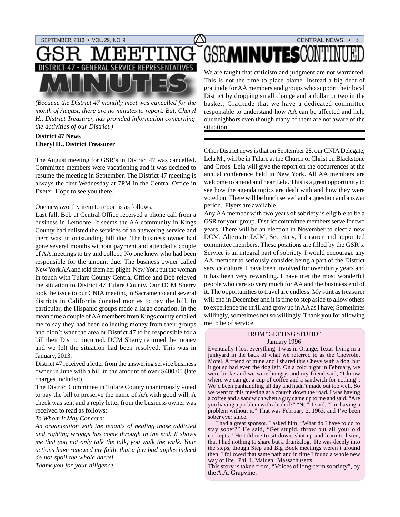

*(Because the District 47 monthly meet was cancelled for the month of August, there are no minutes to report. But, Cheryl H., District Treasurer, has provided information concerning the activities of our District.)*

#### **District 47 News Cheryl H., District Treasurer**

The August meeting for GSR's in District 47 was cancelled. Committee members were vacationing and it was decided to resume the meeting in September. The District 47 meeting is always the first Wednesday at 7PM in the Central Office in Exeter. Hope to see you there.

#### One newsworthy item to report is as follows:

Last fall, Bob at Central Office received a phone call from a business in Lemoore. It seems the AA community in Kings County had enlisted the services of an answering service and there was an outstanding bill due. The business owner had gone several months without payment and attended a couple of AA meetings to try and collect. No one knew who had been responsible for the amount due. The business owner called New York AA and told them her plight. New York put the woman in touch with Tulare County Central Office and Bob relayed the situation to District 47 Tulare County. Our DCM Sherry took the issue to our CNIA meeting in Sacramento and several districts in California donated monies to pay the bill. In particular, the Hispanic groups made a large donation. In the mean time a couple of AA members from Kings county emailed me to say they had been collecting money from their groups and didn't want the area or District 47 to be responsible for a bill their District incurred. DCM Sherry returned the money and we felt the situation had been resolved. This was in January, 2013.

District 47 received a letter from the answering service business owner in June with a bill in the amount of over \$400.00 (late charges included).

The District Committee in Tulare County unanimously voted to pay the bill to preserve the name of AA with good will. A check was sent and a reply letter from the business owner was received to read as follows:

#### *To Whom It May Concern:*

*An organization with the tenants of healing those addicted and righting wrongs has come through in the end. It shows me that you not only talk the talk, you walk the walk. Your actions have renewed my faith, that a few bad apples indeed do not spoil the whole barrel.*

*Thank you for your diligence.*

# GSR**minutes**conti

We are taught that criticism and judgment are not warranted. This is not the time to place blame. Instead a big debt of gratitude for AA members and groups who support their local District by dropping small change and a dollar or two in the basket; Gratitude that we have a dedicated committee responsible to understand how AA can be affected and help our neighbors even though many of them are not aware of the situation.

Other District news is that on September 28, our CNIA Delegate, Lela M., will be in Tulare at the Church of Christ on Blackstone and Cross. Lela will give the report on the occurrences at the annual conference held in New York. All AA members are welcome to attend and hear Lela. This is a great opportunity to see how the agenda topics are dealt with and how they were voted on. There will be lunch served and a question and answer period. Flyers are available.

Any AA member with two years of sobriety is eligible to be a GSR for your group. District committee members serve for two years. There will be an election in November to elect a new DCM, Alternate DCM, Secretary, Treasurer and appointed committee members. These positions are filled by the GSR's. Service is an integral part of sobriety. I would encourage any AA member to seriously consider being a part of the District service culture. I have been involved for over thirty years and it has been very rewarding. I have met the most wonderful people who care so very much for AA and the business end of it. The opportunities to travel are endless. My stint as treasurer will end in December and it is time to step aside to allow others to experience the thrill and grow up in AA as I have; Sometimes willingly, sometimes not so willingly. Thank you for allowing me to be of service.

#### FROM "GETTING STUPID" January 1996

Eventually I lost everything. I was in Orange, Texas living in a junkyard in the back of what we referred to as the Chevrolet Motel. A friend of mine and I shared this Chevy with a dog, but it got so bad even the dog left. On a cold night in February, we were broke and we were hungry, and my friend said, "I know where we can get a cup of coffee and a sandwich for nothing". We'd been panhandling all day and hadn't made out too well. So we went to this meeting at a church down the road. I was having a coffee and a sandwich when a guy came up to me and said, "Are you having a problem with alcohol?" "No", I said, "I'm having a problem without it." That was February 2, 1963, and I've been sober ever since.

 I had a great sponsor. I asked him, "What do I have to do to stay sober?" He said, "Get stupid, throw out all your old concepts." He told me to sit down, shut up and learn to listen, that I had nothing to share but a drunkalog. He was deeply into the steps, though Step and Big Book meetings weren't around then. I followed that same path and in time I found a whole new way of life. Phil L.Malden, Massachusetts

This story is taken from, "Voices of long-term sobriety", by the A.A. Grapvine.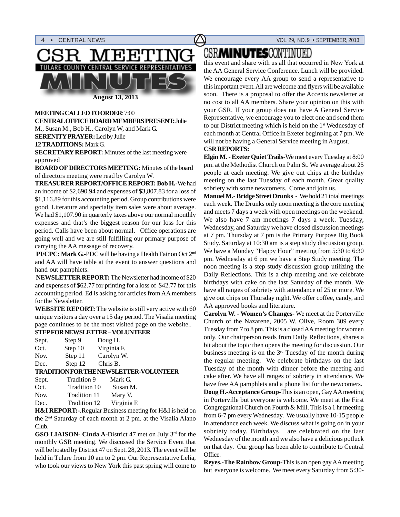



**August 13, 2013**

#### **MEETING CALLED TO ORDER**: 7:00 **CENTRAL OFFICE BOARD MEMBERS PRESENT:** Julie M., Susan M., Bob H., Carolyn W, and Mark G. **SERENITY PRAYER:** Led by Julie **12 TRADITIONS:** Mark G. **SECRETARY REPORT:** Minutes of the last meeting were

approved **BOARD OF DIRECTORS MEETING:** Minutes of the board

of directors meeting were read by Carolyn W.

**TREASURER REPORT/OFFICE REPORT: Bob H.-**We had an income of \$2,690.94 and expenses of \$3,807.83 for a loss of \$1,116.89 for this accounting period. Group contributions were good. Literature and specialty item sales were about average. We had \$1,107.90 in quarterly taxes above our normal monthly expenses and that's the biggest reason for our loss for this period. Calls have been about normal. Office operations are going well and we are still fulfilling our primary purpose of carrying the AA message of recovery.

 **PI/CPC: Mark G.-**PDC will be having a Health Fair on Oct 2nd and AA will have table at the event to answer questions and hand out pamphlets.

 **NEWSLETTER REPORT:** The Newsletter had income of \$20 and expenses of \$62.77 for printing for a loss of \$42.77 for this accounting period. Ed is asking for articles from AA members for the Newsletter.

**WEBSITE REPORT:** The website is still very active with 60 unique visitors a day over a 15 day period. The Visalia meeting page continues to be the most visited page on the website..

| Sept. | Step 9  | Doug H.     |
|-------|---------|-------------|
| Oct.  | Step 10 | Virginia F. |
| Nov.  | Step 11 | Carolyn W.  |
| Dec.  | Step 12 | Chris B.    |
|       |         |             |

#### **TRADITION FOR THE NEWSLETTER-VOLUNTEER**

| Tradition 9  | Mark G.     |
|--------------|-------------|
| Tradition 10 | Susan M.    |
| Tradition 11 | Mary V.     |
| Tradition 12 | Virginia F. |
|              |             |

**H&I REPORT:-**.Regular Business meeting for H&I is held on the 2nd Saturday of each month at 2 pm. at the Visalia Alano Club.

**GSO LIAISON- Cinda A-District 47 met on July 3rd for the** monthly GSR meeting. We discussed the Service Event that will be hosted by District 47 on Sept. 28, 2013. The event will be held in Tulare from 10 am to 2 pm. Our Representative Lelia, who took our views to New York this past spring will come to

## **CSRMINUTESCONTINUED**

this event and share with us all that occurred in New York at the AA General Service Conference. Lunch will be provided. We encourage every AA group to send a representative to this important event. All are welcome and flyers will be available soon. There is a proposal to offer the Accents newsletter at no cost to all AA members. Share your opinion on this with your GSR. If your group does not have A General Service Representative, we encourage you to elect one and send them to our District meeting which is held on the 1<sup>st</sup> Wednesday of each month at Central Office in Exeter beginning at 7 pm. We will not be having a General Service meeting in August.

#### **CSR REPORTS:**

**Elgin M. - Exeter Quiet Trails-**We meet every Tuesday at 8:00 pm. at the Methodist Church on Palm St. We average about 25 people at each meeting. We give out chips at the birthday meeting on the last Tuesday of each month. Great quality sobriety with some newcomers. Come and join us.

**Manuel M.- Bridge Street Drunks -** We hold 21 total meetings each week. The Drunks only noon meeting is the core meeting and meets 7 days a week with open meetings on the weekend. We also have 7 am meetings 7 days a week. Tuesday, Wednesday, and Saturday we have closed discussion meetings at 7 pm. Thursday at 7 pm is the Primary Purpose Big Book Study. Saturday at 10:30 am is a step study discussion group. We have a Monday "Happy Hour" meeting from 5:30 to 6:30 pm. Wednesday at 6 pm we have a Step Study meeting. The noon meeting is a step study discussion group utilizing the Daily Reflections. This is a chip meeting and we celebrate birthdays with cake on the last Saturday of the month. We have all ranges of sobriety with attendance of 25 or more. We give out chips on Thursday night. We offer coffee, candy, and AA approved books and literature.

**Carolyn W. - Women's Changes-** We meet at the Porterville Church of the Nazarene, 2005 W. Olive, Room 309 every Tuesday from 7 to 8 pm. This is a closed AA meeting for women only. Our chairperson reads from Daily Reflections, shares a bit about the topic then opens the meeting for discussion. Our business meeting is on the  $3<sup>rd</sup>$  Tuesday of the month during the regular meeting. We celebrate birthdays on the last Tuesday of the month with dinner before the meeting and cake after. We have all ranges of sobriety in attendance. We have free AA pamphlets and a phone list for the newcomers.

**Doug H.-Acceptance Group-**This is an open, Gay AA meeting in Porterville but everyone is welcome. We meet at the First Congregational Church on Fourth & Mill. This is a 1 hr meeting from 6-7 pm every Wednesday. We usually have 10-15 people in attendance each week. We discuss what is going on in your sobriety today. Birthdays are celebrated on the last Wednesday of the month and we also have a delicious potluck on that day. Our group has been able to contribute to Central Office.

**Reyes.-The Rainbow Group-**This is an open gay AA meeting but everyone is welcome. We meet every Saturday from 5:30-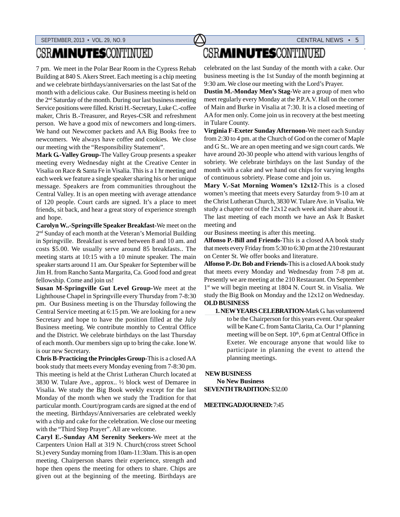## **CSRMINUTESCONTINUED**

7 pm. We meet in the Polar Bear Room in the Cypress Rehab Building at 840 S. Akers Street. Each meeting is a chip meeting and we celebrate birthdays/anniversaries on the last Sat of the month with a delicious cake. Our Business meeting is held on the 2nd Saturday of the month. During our last business meeting Service positions were filled. Kristi H.-Secretary, Luke C.-coffee maker, Chris B.-Treasurer, and Reyes-CSR and refreshment person. We have a good mix of newcomers and long-timers. We hand out Newcomer packets and AA Big Books free to newcomers. We always have coffee and cookies. We close our meeting with the "Responsibility Statement".

**Mark G.-Valley Group-**The Valley Group presents a speaker meeting every Wednesday night at the Creative Center in Visalia on Race & Santa Fe in Visalia. This is a 1 hr meeting and each week we feature a single speaker sharing his or her unique message. Speakers are from communities throughout the Central Valley. It is an open meeting with average attendance of 120 people. Court cards are signed. It's a place to meet friends, sit back, and hear a great story of experience strength and hope.

**Carolyn W..-Springville Speaker Breakfast-**We meet on the 2<sup>nd</sup> Sunday of each month at the Veteran's Memorial Building in Springville. Breakfast is served between 8 and 10 am. and costs \$5.00. We usually serve around 85 breakfasts.. The meeting starts at 10:15 with a 10 minute speaker. The main speaker starts around 11 am. Our Speaker for September will be Jim H. from Rancho Santa Margarita, Ca. Good food and great fellowship. Come and join us!

**Susan M-Springville Gut Level Group-**We meet at the Lighthouse Chapel in Springville every Thursday from 7-8:30 pm. Our Business meeting is on the Thursday following the Central Service meeting at 6:15 pm. We are looking for a new Secretary and hope to have the position filled at the July Business meeting. We contribute monthly to Central Office and the District. We celebrate birthdays on the last Thursday of each month. Our members sign up to bring the cake. Ione W. is our new Secretary.

**Chris B-Practicing the Principles Group-**This is a closed AA book study that meets every Monday evening from 7-8:30 pm. This meeting is held at the Christ Lutheran Church located at 3830 W. Tulare Ave., approx.. ½ block west of Demaree in Visalia. We study the Big Book weekly except for the last Monday of the month when we study the Tradition for that particular month. Court/program cards are signed at the end of the meeting. Birthdays/Anniversaries are celebrated weekly with a chip and cake for the celebration. We close our meeting with the "Third Step Prayer". All are welcome.

**Caryl E.-Sunday AM Serenity Seekers-**We meet at the Carpenters Union Hall at 319 N. Church(cross street School St.) every Sunday morning from 10am-11:30am. This is an open meeting. Chairperson shares their experience, strength and hope then opens the meeting for others to share. Chips are given out at the beginning of the meeting. Birthdays are

# **CSRMINUTESCONTINUED**

celebrated on the last Sunday of the month with a cake. Our business meeting is the 1st Sunday of the month beginning at 9:30 am. We close our meeting with the Lord's Prayer.

**Dustin M.-Monday Men's Stag-**We are a group of men who meet regularly every Monday at the P.P.A.V. Hall on the corner of Main and Burke in Visalia at 7:30. It is a closed meeting of AA for men only. Come join us in recovery at the best meeting in Tulare County.

**Virginia F-Exeter Sunday Afternoon-**We meet each Sunday from 2:30 to 4 pm. at the Church of God on the corner of Maple and G St.. We are an open meeting and we sign court cards. We have around 20-30 people who attend with various lengths of sobriety. We celebrate birthdays on the last Sunday of the month with a cake and we hand out chips for varying lengths of continuous sobriety. Please come and join us.

**Mary V.-Sat Morning Women's 12x12-**This is a closed women's meeting that meets every Saturday from 9-10 am at the Christ Lutheran Church, 3830 W. Tulare Ave. in Visalia. We study a chapter out of the 12x12 each week and share about it. The last meeting of each month we have an Ask It Basket meeting and

our Business meeting is after this meeting.

**Alfonso P.-Bill and Friends-**This is a closed AA book study that meets every Friday from 5:30 to 6:30 pm at the 210 restaurant on Center St. We offer books and literature.

**Alfonso P.-Dr. Bob and Friends-**This is a closed AA book study that meets every Monday and Wednesday from 7-8 pm at. Presently we are meeting at the 210 Restaurant. On September 1<sup>st</sup> we will begin meeting at 1804 N. Court St. in Visalia. We study the Big Book on Monday and the 12x12 on Wednesday. **OLD BUSINESS**

#### **1. NEW YEARS CELEBRATION-**Mark G. has volunteered to be the Chairperson for this years event. Our speaker will be Kane C. from Santa Clarita, Ca. Our 1<sup>st</sup> planning meeting will be on Sept.  $10<sup>th</sup>$ , 6 pm at Central Office in Exeter. We encourage anyone that would like to participate in planning the event to attend the planning meetings.

#### **NEW BUSINESS**

 **No New Business SEVENTH TRADITION:** \$32.00

#### **MEETING ADJOURNED:** 7:45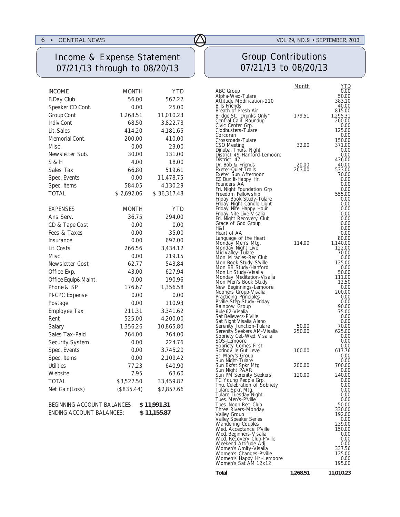### Income & Expense Statement 07/21/13 through to 08/20/13

| <b>INCOME</b>          | MONTH        | <b>YTD</b>  |
|------------------------|--------------|-------------|
| <b>B.Day Club</b>      | 56.00        | 567.22      |
| Speaker CD Cont.       | 0.00         | 25.00       |
| <b>Group Cont</b>      | 1,268.51     | 11,010.23   |
| <b>Indiv Cont</b>      | 68.50        | 3,822.73    |
| Lit. Sales             | 414.20       | 4,181.65    |
| Memorial Cont.         | 200.00       | 410.00      |
| Misc.                  | 0.00         | 23.00       |
| Newsletter Sub.        | 30.00        | 131.00      |
| S & H                  | 4.00         | 18.00       |
| Sales Tax              | 66.80        | 519.61      |
| Spec. Events           | 0.00         | 11,478.75   |
| Spec. Items            | 584.05       | 4,130.29    |
| <b>TOTAL</b>           | \$2,692.06   | \$36,317.48 |
| <b>EXPENSES</b>        | <b>MONTH</b> | YTD         |
| Ans. Serv.             | 36.75        | 294.00      |
| CD & Tape Cost         | 0.00         | 0.00        |
| Fees & Taxes           | 0.00         | 35.00       |
| Insurance              | 0.00         | 692.00      |
| Lit. Costs             | 266.56       | 3,434.12    |
| Misc.                  | 0.00         | 219.15      |
| <b>Newsletter Cost</b> | 62.77        | 543.84      |
| Office Exp.            | 43.00        | 627.94      |
| Office Equip&Maint.    | 0.00         | 190.96      |
| Phone & ISP            | 176.67       | 1,356.58    |
| PI-CPC Expense         | 0.00         | 0.00        |
| Postage                | 0.00         | 110.93      |
| Employee Tax           | 211.31       | 3,341.62    |
| Rent                   | 525.00       | 4,200.00    |
| Salary                 | 1,356.26     | 10,865.80   |
| Sales Tax-Paid         | 764.00       | 764.00      |
| Security System        | 0.00         | 224.76      |
| Spec. Events           | 0.00         | 3,745.20    |
| Spec. Items            | 0.00         | 2,109.42    |
| <b>Utilities</b>       | 77.23        | 640.90      |
| Website                | 7.95         | 63.60       |
| <b>TOTAL</b>           | \$3,527.50   | 33,459.82   |
| Net Gain(Loss)         | (\$835.44)   | \$2,857.66  |

| <b>BEGINNING ACCOUNT BALANCES:</b> | \$11,991.31 |
|------------------------------------|-------------|
| <b>ENDING ACCOUNT BALANCES:</b>    | \$11,155.87 |

## Group Contributions 07/21/13 to 08/20/13

|                                                         | <u>Month</u> | <u>YTD</u>         |
|---------------------------------------------------------|--------------|--------------------|
| ABC Group<br>Alpha-Wed-Tulare                           |              | 0.00<br>50.00      |
| Attitude Modification-210                               |              | 383.10             |
| <b>Bills Friends</b>                                    |              | 40.00              |
| Breath of Fresh Air<br>Bridge St. "Drunks Only"         | 179.51       | 815.00<br>1,295.31 |
| Central Calif. Roundup                                  |              | 200.00             |
| Civic Center Grp.                                       |              | 0.00               |
| Clodbusters-Tulare<br>Corcoran                          |              | 125.00<br>0.00     |
| Crossroads-Tulare                                       |              | 150.00             |
| CSO Meeting                                             | 32.00        | 371.00             |
| Dinuba, Thurs, Night<br>District 49-Hanford-Lemoore     |              | 0.00               |
| District 47                                             |              | 0.00<br>436.00     |
| Dr. Bob & Friends                                       | 20.00        | 40.00              |
| <b>Exeter-Quiet Trails</b>                              | 203.00       | 533.00             |
| Exeter Sun Afternoon<br>EZ Duz It-Happy Hr.             |              | 70.00<br>0.00      |
| Founders AA                                             |              | 0.00               |
| Fri. Night Foundation Grp                               |              | 0.00               |
| Freedom Fellowship                                      |              | 555.00<br>0.00     |
| Friday Book Study-Tulare<br>Friday Night Candle Light   |              | 0.00               |
| Friday Nite Happy Hour                                  |              | 0.00               |
| Friday Nite Live-Visalia                                |              | 0.00               |
| Fri. Night Recovery Club<br>Grace of God Group          |              | 0.00<br>0.00       |
| H&I                                                     |              | 0.00               |
| Heart of AA                                             |              | 0.00               |
| Language of the Heart<br>Monday Men's Mtg.              | 114.00       | 80.00<br>1,140.00  |
| Monday Night Live                                       |              | 122.00             |
| Mid Valley-Tulare                                       |              | 70.00              |
| Mon. Miracles-Rec Club<br>Mon Book Study-S'ville        |              | 0.00<br>125.00     |
| Mon BB Study-Hanford                                    |              | 0.00               |
| Mon Lit Study-Visalia                                   |              | 50.00              |
| Monday Meditation-Visalia<br>Mon Men's Book Study       |              | 111.00             |
| New Beginnings-Lemoore                                  |              | 12.50<br>0.00      |
| Nooners Group-Visalia                                   |              | 200.00             |
| Practicing Principles                                   |              | 0.00               |
| P'ville Step Study-Friday<br>Rainbow Group              |              | 0.00<br>90.00      |
| Rule 62-Visalia                                         |              | 75.00              |
| Sat Believers-P'ville                                   |              | 0.00               |
| Sat Night Visalia Alano                                 | 50.00        | 0.00<br>70.00      |
| Serenity Junction-Tulare<br>Serenity Seekers AM-Visalia | 250.00       | 625.00             |
| Sobriety Cel.-Wed. Visalia                              |              | 0.00               |
| SOS-Lemoore<br>Sobriety Comes First                     |              | 0.00<br>0.00       |
| Springville Gut Level                                   | 100.00       | 617.76             |
| St. Māry's Group                                        |              | 0.00               |
| Sun Night-Tulare                                        | 200.00       | 0.00<br>700.00     |
| Sun Bkfst Spkr Mtg<br>Sun Night PAAR                    |              | 0.00               |
| Sun PM Serenity Seekers                                 | 120.00       | 240.00             |
| TC Young People Grp.                                    |              | 0.00               |
| Thu. Celebration of Sobriety<br>Tulare Spkr. Mtg.       |              | 0.00<br>0.00       |
| Tulare Tuesday Night                                    |              | 0.00               |
| Tues. Men's-P'ville                                     |              | 0.00               |
| Tues. Noon Rec. Club<br>Three Rivers-Monday             |              | 50.00<br>330.00    |
| Valley Group                                            |              | 192.00             |
| Valley Speaker Series                                   |              | 0.00               |
| <b>Wandering Couples</b><br>Wed. Acceptance, P'ville    |              | 239.00<br>150.00   |
| Wed. Beginners-Visalia                                  |              | 0.00               |
| Wed. Recovery Club-P'ville                              |              | 0.00               |
| Weekend Attitude Adj.                                   |              | 0.00<br>337.56     |
| Women's Amity-Visalia<br>Women's Changes-P'ville        |              | 125.00             |
| Women's Happy Hr.-Lemoore                               |              | 0.00               |
| Women's Sat AM 12x12                                    |              | 195.00             |
| Total                                                   | 1,268.51     | 11,010.23          |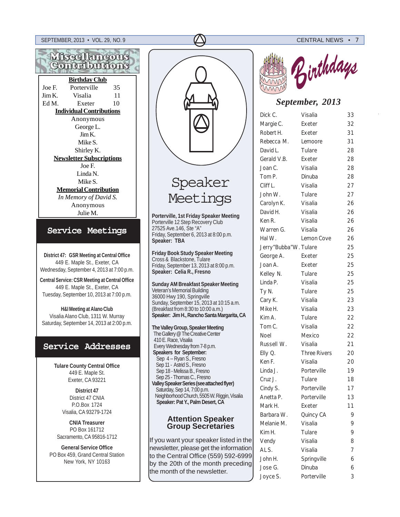



## Speaker Meetings

**Porterville, 1st Friday Speaker Meeting** Porterville 12 Step Recovery Club 27525 Ave.146, Ste "A" Friday, September 6, 2013 at 8:00 p.m. **Speaker: TBA**

**Friday Book Study Speaker Meeting** Cross & Blackstone, Tulare Friday, September 13, 2013 at 8:00 p.m. **Speaker: Celia R., Fresno**

**Sunday AM Breakfast Speaker Meeting** Veteran's Memorial Building 36000 Hwy 190, Springville Sunday, September 15, 2013 at 10:15 a.m. (Breakfast from 8:30 to 10:00 a.m.) **Speaker: Jim H., Rancho Santa Margarita, CA**

**The Valley Group, Speaker Meeting** The Gallery @ The Creative Center 410 E. Race, Visalia Every Wednesday from 7-8 p.m.  **Speakers for September:** Sep 4 -- Ryan S., Fresno Sep 11 - Astrid S., Fresno Sep 18 - Melissa B., Fresno Sep 25 - Thomas C., Fresno **Valley Speaker Series (see attached flyer)** Saturday, Sep 14, 7:00 p.m. Neighborhood Church, 5505 W. Riggin, Visalia **Speaker: Pat Y., Palm Desert, CA**

#### **Attention Speaker Group Secretaries**

If you want your speaker listed in the newsletter, please get the information to the Central Office (559) 592-6999 by the 20th of the month preceding the month of the newsletter.



### *September, 2013*

| Dick C.               | Visalia             | 33 |
|-----------------------|---------------------|----|
| Margie C.             | Exeter              | 32 |
| Robert H.             | Exeter              | 31 |
| Rebecca M.            | Lemoore             | 31 |
| David L.              | Tulare              | 28 |
| Gerald V.B.           | Exeter              | 28 |
| Joan C.               | Visalia             | 28 |
| Tom P.                | Dinuba              | 28 |
| Cliff L.              | Visalia             | 27 |
| John W.               | Tulare              | 27 |
| Carolyn K.            | Visalia             | 26 |
| David H.              | Visalia             | 26 |
| Ken R.                | Visalia             | 26 |
| Warren G.             | Visalia             | 26 |
| Hal W.                | Lemon Cove          | 26 |
| Jerry"Bubba"W. Tulare |                     | 25 |
| George A.             | Exeter              | 25 |
| Joan A.               | Exeter              | 25 |
| Kelley N.             | Tulare              | 25 |
| Linda P.              | Visalia             | 25 |
| Ty N.                 | Tulare              | 25 |
| Cary K.               | Visalia             | 23 |
| Mike H.               | Visalia             | 23 |
| Kim A.                | Tulare              | 22 |
| Tom C.                | Visalia             | 22 |
| Noel                  | Mexico              | 22 |
| Russell W.            | Visalia             | 21 |
| Elly Q.               | <b>Three Rivers</b> | 20 |
| Ken F.                | Visalia             | 20 |
| Linda J.              | Porterville         | 19 |
| Cruz J.               | Tulare              | 18 |
| Cindy S.              | Porterville         | 17 |
| Anetta P.             | Porterville         | 13 |
| Mark H.               | Exeter              | 11 |
| Barbara W.            | Quincy CA           | 9  |
| Melanie M.            | Visalia             | 9  |
| Kim H.                | Tulare              | 9  |
| Vendy                 | Visalia             | 8  |
| AL S.                 | Visalia             | 7  |
| John H.               | Springville         | 6  |
| Jose G.               | Dinuba              | 6  |
| Joyce S.              | Porterville         | 3  |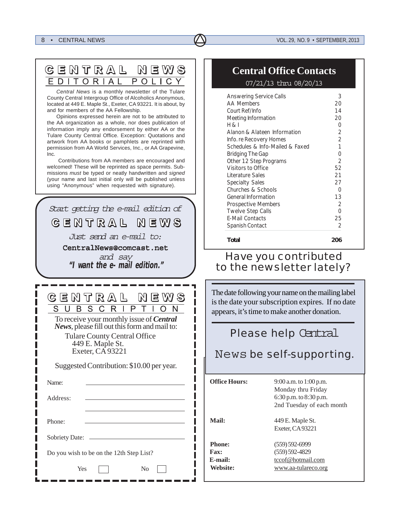#### *8* • CENTRAL NEWS **VOL. 29, NO. 9 • SEPTEMBER, 2013**

| GENTRAL NEWS     |  |
|------------------|--|
| EDITORIAL POLICY |  |

*Central News* is a monthly newsletter of the Tulare County Central Intergroup Office of Alcoholics Anonymous, located at 449 E. Maple St., Exeter, CA 93221. It is about, by and for members of the AA Fellowship.

Opinions expressed herein are not to be attributed to the AA organization as a whole, nor does publication of information imply any endorsement by either AA or the Tulare County Central Office. Exception: Quotations and artwork from AA books or pamphlets are reprinted with permission from AA World Services, Inc., or AA Grapevine, Inc.

 Contributions from AA members are encouraged and welcomed! These will be reprinted as space permits. Submissions *must* be typed or neatly handwritten and *signed* (your name and last initial only will be published unless using "Anonymous" when requested with signature).

| Start getting the e-mail edition of<br>GENTRAL NEWS<br>Just send an e-mail to:<br>CentralNews@comcast.net<br>and say<br>"I want the e-mail edition."                                                                                                          |
|---------------------------------------------------------------------------------------------------------------------------------------------------------------------------------------------------------------------------------------------------------------|
| CEMTRAL MEWS<br>S C R<br>P<br>S<br>R.<br>To receive your monthly issue of Central<br>News, please fill out this form and mail to:<br><b>Tulare County Central Office</b><br>449 E. Maple St.<br>Exeter, CA 93221<br>Suggested Contribution: \$10.00 per year. |
| Name:                                                                                                                                                                                                                                                         |
| Address:                                                                                                                                                                                                                                                      |
| Phone:                                                                                                                                                                                                                                                        |
| <b>Sobriety Date:</b>                                                                                                                                                                                                                                         |
| Do you wish to be on the 12th Step List?                                                                                                                                                                                                                      |
| Yes<br>No                                                                                                                                                                                                                                                     |

### **Central Office Contacts**

07/21/13 thru 08/20/13

| <b>Answering Service Calls</b>  | 3              |
|---------------------------------|----------------|
| <b>AA Members</b>               | 20             |
| Court Ref/Info                  | 14             |
| Meeting Information             | 20             |
| H & I                           | 0              |
| Alanon & Alateen Information    | 2              |
| Info. re Recovery Homes         | $\mathfrak{D}$ |
| Schedules & Info-Mailed & Faxed | 1              |
| Bridging The Gap                | U              |
| Other 12 Step Programs          | $\overline{2}$ |
| Visitors to Office              | 52             |
| Literature Sales                | 21             |
| <b>Specialty Sales</b>          | 27             |
| Churches & Schools              | ი              |
| <b>General Information</b>      | 13             |
| <b>Prospective Members</b>      | $\mathcal{P}$  |
| <b>Twelve Step Calls</b>        | ი              |
| <b>E-Mail Contacts</b>          | 25             |
| Spanish Contact                 | 2              |
| Total                           | 206            |

## *Have you contributed to the newsletter lately?*

The date following your name on the mailing label is the date your subscription expires. If no date appears, it's time to make another donation.

### **Please help Central**

News *be self-supporting.*

| <b>Office Hours:</b>                                   | 9:00 a.m. to 1:00 p.m.<br>Monday thru Friday<br>6:30 p.m. to $8:30$ p.m.<br>2nd Tuesday of each month |
|--------------------------------------------------------|-------------------------------------------------------------------------------------------------------|
| Mail:                                                  | 449 E. Maple St.<br>Exeter, CA93221                                                                   |
| <b>Phone:</b><br><b>Fax:</b><br>$E$ -mail:<br>Website: | $(559) 592 - 6999$<br>$(559) 592 - 4829$<br>tccof@hotmail.com<br>www.aa-tulareco.org                  |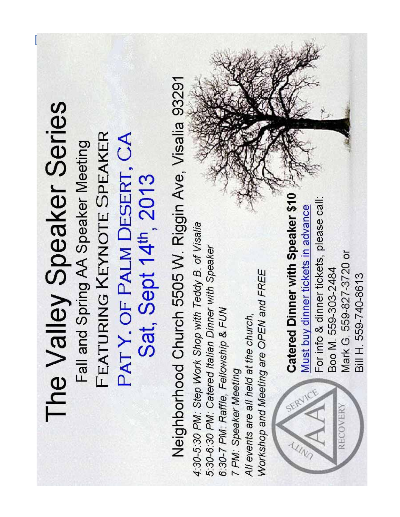# SEPTEMBER, 2013 • VOL. 29, NO. 9 CENTRAL NEWS • *9*Neighborhood Church 5505 W. Riggin Ave, Visalia 93291 The Valley Speaker Series FEATURING KEYNOTE SPEAKER PATY. OF PALM DESERT, CA Fall and Spring AA Speaker Meeting Sat, Sept 14<sup>th</sup>, 2013 Catered Dinner with Speaker \$10 For info & dinner tickets, please call: Must buy dinner tickets in advance 4:30-5:30 PM: Step Work Shop with Teddy B. of Visalia 5:30-6:30 PM: Catered Italian Dinner with Speaker Mark G. 559-827-3720 or Boo M. 559-303-2484 Workshop and Meeting are OPEN and FREE Bill H. 559-740-8613 6:30-7 PM: Raffle, Fellowship & FUN All events are all held at the church, 7 PM: Speaker Meeting **RECOVERY**